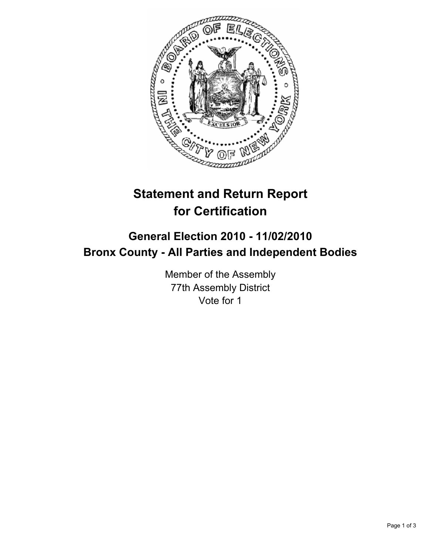

## **Statement and Return Report for Certification**

## **General Election 2010 - 11/02/2010 Bronx County - All Parties and Independent Bodies**

Member of the Assembly 77th Assembly District Vote for 1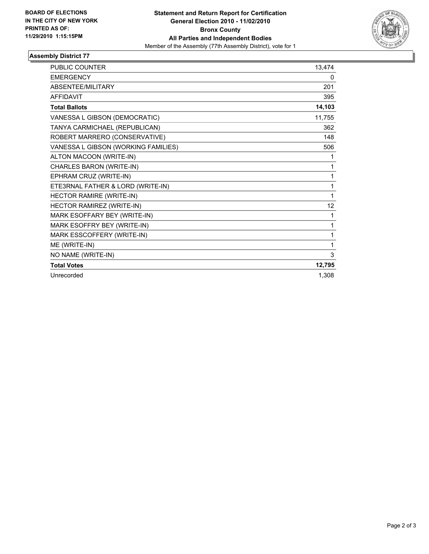

## **Assembly District 77**

| <b>PUBLIC COUNTER</b>               | 13,474 |
|-------------------------------------|--------|
| <b>EMERGENCY</b>                    | 0      |
| <b>ABSENTEE/MILITARY</b>            | 201    |
| <b>AFFIDAVIT</b>                    | 395    |
| <b>Total Ballots</b>                | 14,103 |
| VANESSA L GIBSON (DEMOCRATIC)       | 11,755 |
| TANYA CARMICHAEL (REPUBLICAN)       | 362    |
| ROBERT MARRERO (CONSERVATIVE)       | 148    |
| VANESSA L GIBSON (WORKING FAMILIES) | 506    |
| ALTON MACOON (WRITE-IN)             | 1      |
| CHARLES BARON (WRITE-IN)            | 1      |
| EPHRAM CRUZ (WRITE-IN)              | 1      |
| ETE3RNAL FATHER & LORD (WRITE-IN)   | 1      |
| HECTOR RAMIRE (WRITE-IN)            | 1      |
| HECTOR RAMIREZ (WRITE-IN)           | 12     |
| MARK ESOFFARY BEY (WRITE-IN)        | 1      |
| MARK ESOFFRY BEY (WRITE-IN)         | 1      |
| MARK ESSCOFFERY (WRITE-IN)          | 1      |
| ME (WRITE-IN)                       | 1      |
| NO NAME (WRITE-IN)                  | 3      |
| <b>Total Votes</b>                  | 12,795 |
| Unrecorded                          | 1,308  |